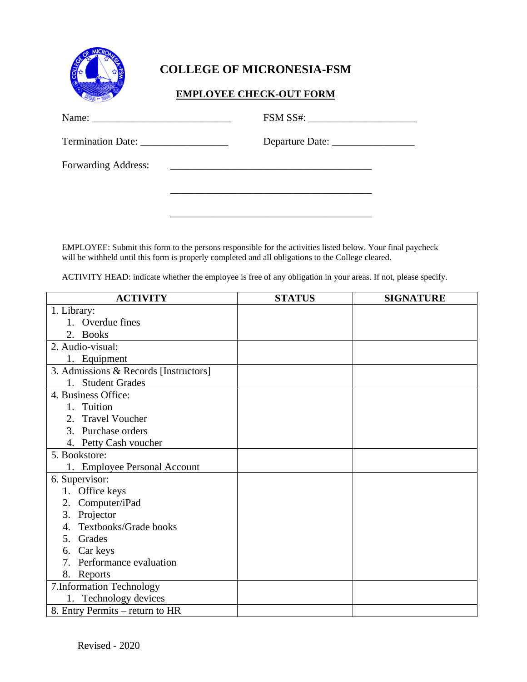

## **COLLEGE OF MICRONESIA-FSM**

## **EMPLOYEE CHECK-OUT FORM**

|                     | FSM SS#: |
|---------------------|----------|
| Termination Date:   |          |
| Forwarding Address: |          |
|                     |          |

EMPLOYEE: Submit this form to the persons responsible for the activities listed below. Your final paycheck will be withheld until this form is properly completed and all obligations to the College cleared.

\_\_\_\_\_\_\_\_\_\_\_\_\_\_\_\_\_\_\_\_\_\_\_\_\_\_\_\_\_\_\_\_\_\_\_\_\_\_\_

ACTIVITY HEAD: indicate whether the employee is free of any obligation in your areas. If not, please specify.

| <b>ACTIVITY</b>                       | <b>STATUS</b> | <b>SIGNATURE</b> |
|---------------------------------------|---------------|------------------|
| 1. Library:                           |               |                  |
| 1. Overdue fines                      |               |                  |
| 2. Books                              |               |                  |
| 2. Audio-visual:                      |               |                  |
| 1. Equipment                          |               |                  |
| 3. Admissions & Records [Instructors] |               |                  |
| 1. Student Grades                     |               |                  |
| 4. Business Office:                   |               |                  |
| Tuition<br>1.                         |               |                  |
| 2. Travel Voucher                     |               |                  |
| 3. Purchase orders                    |               |                  |
| 4. Petty Cash voucher                 |               |                  |
| 5. Bookstore:                         |               |                  |
| 1. Employee Personal Account          |               |                  |
| 6. Supervisor:                        |               |                  |
| 1. Office keys                        |               |                  |
| 2. Computer/iPad                      |               |                  |
| 3. Projector                          |               |                  |
| Textbooks/Grade books                 |               |                  |
| Grades<br>5.                          |               |                  |
| 6. Car keys                           |               |                  |
| 7. Performance evaluation             |               |                  |
| 8. Reports                            |               |                  |
| 7. Information Technology             |               |                  |
| 1. Technology devices                 |               |                  |
| 8. Entry Permits – return to HR       |               |                  |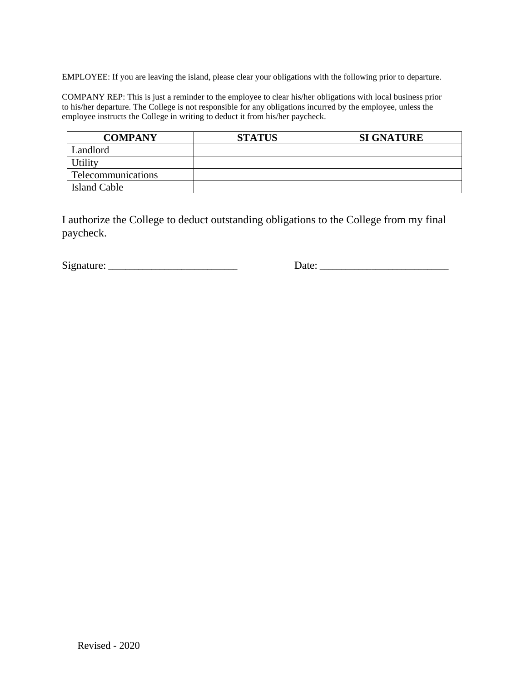EMPLOYEE: If you are leaving the island, please clear your obligations with the following prior to departure.

COMPANY REP: This is just a reminder to the employee to clear his/her obligations with local business prior to his/her departure. The College is not responsible for any obligations incurred by the employee, unless the employee instructs the College in writing to deduct it from his/her paycheck.

| <b>COMPANY</b>     | <b>STATUS</b> | <b>SI GNATURE</b> |
|--------------------|---------------|-------------------|
| Landlord           |               |                   |
| Jtility            |               |                   |
| Telecommunications |               |                   |
| Island Cable       |               |                   |

I authorize the College to deduct outstanding obligations to the College from my final paycheck.

Signature: \_\_\_\_\_\_\_\_\_\_\_\_\_\_\_\_\_\_\_\_\_\_\_\_\_\_\_\_\_\_ Date: \_\_\_\_\_\_\_\_\_\_\_\_\_\_\_\_\_\_\_\_\_\_\_\_\_\_\_\_\_\_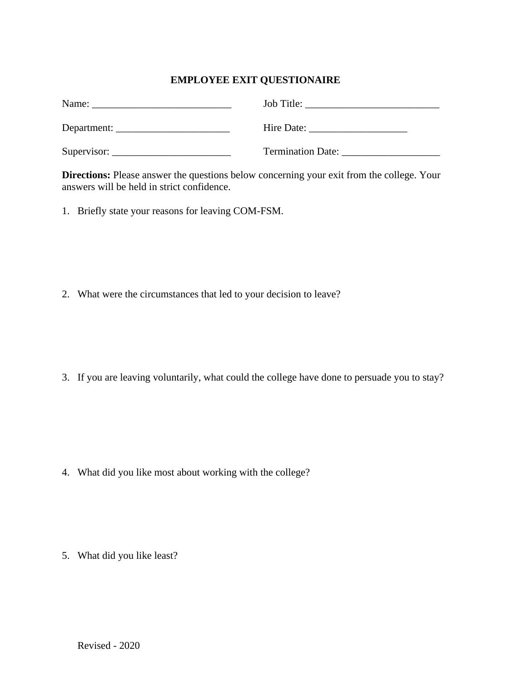## **EMPLOYEE EXIT QUESTIONAIRE**

| Name:                                                          | Job Title:                                                    |
|----------------------------------------------------------------|---------------------------------------------------------------|
|                                                                |                                                               |
|                                                                | Hire Date: $\frac{1}{\sqrt{1-\frac{1}{2}} \cdot \frac{1}{2}}$ |
|                                                                |                                                               |
| Supervisor: $\frac{1}{\sqrt{1-\frac{1}{2}} \cdot \frac{1}{2}}$ | <b>Termination Date:</b>                                      |

**Directions:** Please answer the questions below concerning your exit from the college. Your answers will be held in strict confidence.

1. Briefly state your reasons for leaving COM-FSM.

2. What were the circumstances that led to your decision to leave?

3. If you are leaving voluntarily, what could the college have done to persuade you to stay?

4. What did you like most about working with the college?

5. What did you like least?